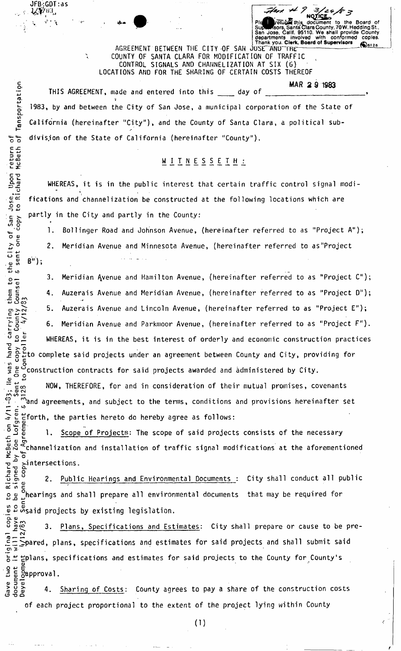Thank you. **Clerk, Board of Supervisors**  AGREEMENT BETWEEN THE CITY OF SAN JUSE AND THE COUNTY OF SANTA CLARA FOR MODIFICATION OF TRAFFIC CONTROL SIGNALS AND CHANNELIZATION AT SIX (6) LOCATIONS AND FOR THE SHARING OF CERTAIN COSTS THEREOF

\* ' *\* PIe^M/etuyw this document to the Board of

Supwaraors, Santa Clara County, 70W. Hedding St.,<br>San Jose, Calif. 95110. We shall provide County San Jose, Calif. 95110. We shall provide County<br>departments involved with conformed copies.

**S MA R** *2* **9 1983**  THIS AGREEMENT, made and entered into this day of 1983, by and between the City of San Jose, a municipal corporation of the State of California (hereinafter "City"), and the County of Santa Clara, a political sub- $\frac{1}{6}$   $\frac{1}{6}$  division of the State of California (hereinafter "County").

# WITNESSETH:

WHEREAS, it is in the public interest that certain traffic control signal modi fications and channelization be constructed at the following locations which are  $\frac{c}{c}$  partly in the City and partly in the County:

1. Bollinger Road and Johnson Avenue, (hereinafter referred to as "Project A"); 2. Meridian Avenue and Minnesota Avenue, (hereinafter referred to as "Project

 $B^{\overline{u}}$ );

JFB:GDT:as

 $\mathcal{L} = \mathcal{U} = \mathcal{U} = \mathcal{U}$ 

-M

EL-*U)* 

3. Meridian Avenue and Hamilton Avenue, (hereinafter referred to as "Project C"); 4. Auzerais Avenue and Meridian Avenue, (hereinafter referred to as "Project D"); 5. Auzerais Avenue and Lincoln Avenue, (hereinafter referred to as "Project E");  $\mathbb{H}^*$  6. Meridian Avenue and Parkmoor Avenue, (hereinafter referred to as "Project F"). WHEREAS, it is in the best interest of orderly and economic construction practices لَّا <del>C</del> at to complete said projects under an agreement between County and City, providing for<br>معا

• *v)* o § c Construction contracts for said projects awarded and administered by City. O o coo NOW, THEREFORE, for and in consideration of their mutual promises, covenants f and subsequents, and subsequents for the terms, conditions and provisions and provisions and provisions and provisions  $\frac{1}{6}$  forth, the parties hereto do hereby agree as follows:

chool is the partial of Projects: The scope of said projects consists of the necessary<br>
compute the process of the prosection of traffic signal modifications at the aforement<br>  $\frac{1}{2}$   $\frac{1}{2}$  Channelization and install  $\bar{\Xi}$  , the scope of said projects: The scope of said projects: The scope of the necessary  $\Xi$  $\sharp$   $\gtrsim$   $\bar{o}$  modification and installation of traffic signal modifications at the aforemention  $\bar{o}$  and  $\bar{o}$  aforemention of the aforemention  $\bar{o}$  and  $\bar{o}$  aforemention  $\bar{o}$  and  $\bar{o}$  and  $\bar{o}$  and  $\bar{o}$ O <4- 3 *X.* o -u ^intersections. **l**. -a a.

2. Public Hearings and Environmental Documents : City shall conduct all public  $\frac{0}{1}$ hearings and shall prepare all environmental documents that may be required for ີດ.<br>ກ p<sup>2</sup> »said projects by existing legislation.

3. Plans, Specifications and Estimates: City shall prepare or cause to be pre-  $\mathbb{E} \sqsubseteq \mathbb{Z}$ pared, plans, specifications and estimates for said projects and shall submit said .**eE**Spared, plans, specifications and estimates for said projects and shall submit said  $5.2 \text{ Eplans}$ , specifications and estimates for said projects to the County for County's<br> $\frac{9}{5} \frac{1}{8}$   $\frac{1}{8}$   $\frac{1}{8}$   $\frac{1}{9}$   $\frac{1}{9}$   $\frac{1}{9}$   $\frac{1}{10}$   $\frac{1}{10}$   $\frac{1}{10}$  $\frac{5}{6}$ approval.

a 5 g<br>3 g a 3h - Sharing of Costs: County agrees to pay a share of the construction costs<br>3 g a 3 a 4. Sharing of Costs: County agrees to pay a share of the construction costs *£* —  $\overline{\phantom{a}}$ of each project proportional to the extent of the project lying within County

return<br>McBeth " chard  $\frac{1}{2}$  ex o o  $\frac{a}{2}$ «/> o  $\sum_{n=0}^{\infty}$  $5.5$ , <D LO  $\overline{4}$  w  $\overline{4}$  $\Omega =$  $-9$ e a<br>Lou<br>Lo: carrying them **C J-J — C \**  *i-* o <D l- $E > 2$ **ၿ** ပိွ  $28$  $\frac{5}{2}$  $\frac{1}{2}$   $\ldots$   $\frac{1}{2}$  and **T- C**   $\alpha$   $\sim$  cl Richard<br>signed l to Ri<br>be si copi<br>have<br>/83  $\omega$   $\frac{2}{3}$   $\frac{3}{2}$   $\frac{3}{2}$ 

c

**O -DO**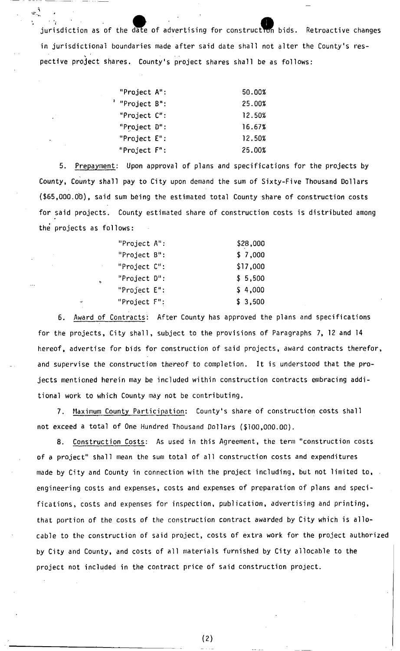jurisdiction as of the date of advertising for construction bids. Retroactive changes in jurisdictional boundaries made after said date shall not alter the County's respective project shares. County's project shares shall be as follows:

| "Project A":    | 50.00% |
|-----------------|--------|
| "Project B":    | 25.00% |
| "Project C":    | 12.50% |
| "Project D":    | 16.67% |
| "Project $E$ ": | 12.50% |
| "Project F":    | 25.00% |

5. Prepayment: Upon approval of plans and specifications for the projects by County, County shall pay to City upon demand the sum of Sixty-Five Thousand Dollars (\$65,000.0'O), said sum b6ing the estimated total County share of construction costs for said projects. County estimated share of construction costs is distributed among the projects as follows:

| "Project $A$ ": | \$28,000 |
|-----------------|----------|
| "Project B":    | \$7,000  |
| "Project C":    | \$17,000 |
| "Project D":    | \$5,500  |
| "Project $E$ ": | \$4,000  |
| "Project F":    | \$3,500  |

6. Award of Contracts: After County has approved the plans and specifications for the projects, City shall, subject to the provisions of Paragraphs 7, 12 and 14 hereof, advertise for bids for construction of said projects, award contracts therefor, and supervise the construction thereof to completion. It is understood that the projects mentioned herein may be included within construction contracts embracing additional work to which County may not be contributing.

7. Maximum County Participation: County's share of construction costs shall not exceed a total of One Hundred Thousand Dollars (\$100,000.00).

8. Construction Costs: As used in this Agreement, the term "construction costs of a project" shall mean the sum total of all construction costs and expenditures made by City and County in connection with the project including, but not limited to, engineering costs and expenses, costs and expenses of preparation of plans and specifications, costs and expenses for inspection, publication, advertising and printing, that portion of the costs of the construction contract awarded by City which is allocable to the construction of said project, costs of extra work for the project authorized by City and County, and costs of all materials furnished by City allocable to the project not included in the contract price of said construction project.

**(2)**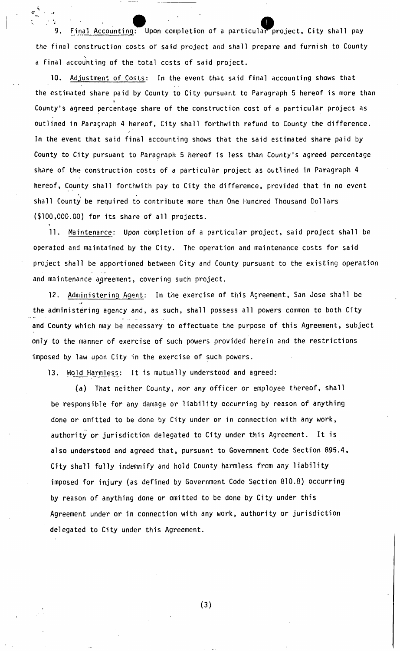9. Final Accounting: Upon completion of a particular project, City shall pay the final construction costs of said project and shall prepare and furnish to County a final accounting of the total costs of said project.

10. Adjustment of Costs: In the event that said final accounting shows that the estimated share paid by County to City pursuant to Paragraph 5 hereof is more than 1 County's agreed percentage share of the construction cost of a particular project as outlined in Paragraph 4 hereof, City shall forthwith refund to County the difference. In the event that said final accounting shows that the said estimated share paid by County to City pursuant to Paragraph 5 hereof is less than County's agreed percentage share of the construction costs of a particular project as outlined in Paragraph 4 hereof, County shall forthwith pay to City the difference, provided that in no event shall County be required to contribute more than One Hundred Thousand Dollars (\$100,000.00) for its share of all projects.

11. Maintenance: Upon completion of a particular project, said project shall be operated and maintained by the City. The operation and maintenance costs for said project shall be apportioned between City and County pursuant to the existing operation and maintenance agreement, covering such project.

12. Administering Agent: In the exercise of this Agreement, San Jose shall be the administering agency and, as such, shall possess all powers common to both City and County which may be necessary to effectuate the purpose of this Agreement, subject only to the manner of exercise of such powers provided herein and the restrictions imposed by law upon City in the exercise of such powers.

13. Hold Harmless: It is mutually understood and agreed:

(a) That neither County, nor any officer or employee thereof, shall be responsible for any damage or liability occurring by reason of anything done or omitted to be done by City under or in connection with any work, authority or jurisdiction delegated to City under this Agreement. It is also understood and agreed that, pursuant to Government Code Section 895.4, City shall fully indemnify and hold County harmless from any liability imposed for injury (as defined by Government Code Section 810.8) occurring by reason of anything done or omitted to be done by City under this Agreement under or in connection with any work, authority or jurisdiction delegated to City under this Agreement.

**(3)**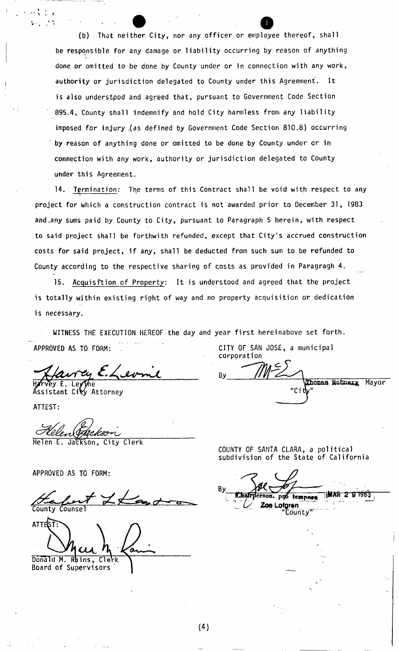(b) That neither City, nor any officer or employee thereof, shall be responsible for any damage or liability occurring by reason of anything done or omitted to be done by County under or in connection with any work, authority or jurisdiction delegated to County under this Agreement. It is also understpod and agreed that, pursuant to Government Code Section 895.4, County shall indemnify and hold City harmless from any liability imposed for injury ,(as defined by Government Code Section 810.8) occurring by reason of anything done or omitted to be done by County under or in connection with any work, authority or jurisdiction delegated to County under this Agreement.

14. Termination: The terms of this Contract shall be void with respect to any project for which a construction contract is not awarded prior to December 31, 1983 and .any sums paid by County to City, pursuant to Paragraph 5 herein, with respect to said project shall be forthwith refunded, except that City's accrued construction costs for said project, if any, shall be deducted from such sum to be refunded to County according to the respective sharing of costs as provided in Paragragh 4.

15. Acquisition of Property: It is understood and agreed that the project is totally within existing right of way and no property acquisition or dedication is necessary.

WITNESS THE EXECUTION HEREOF the day and year first hereinabove set forth. APPROVED AS TO FORM: . The state of the CITY OF SAN JOSE, a municipal

way E.Lev

Assistant City Attorney

ATTEST:

kaom

Helen E. Jackson, City Clerk

APPROVED AS TO FORM:

County Counsel

ATTEST: *(JUL*  Donald M. Rains, Clerk

Board of Supervisors

corporation

By. Thomas McEnery, Mayor 'Cit

COUNTY OF SANTA CLARA, a political subdivision of the State of California

By rson, pro tempora WAR 2 9 1983 **Zoe Lofgren** "County"

(4)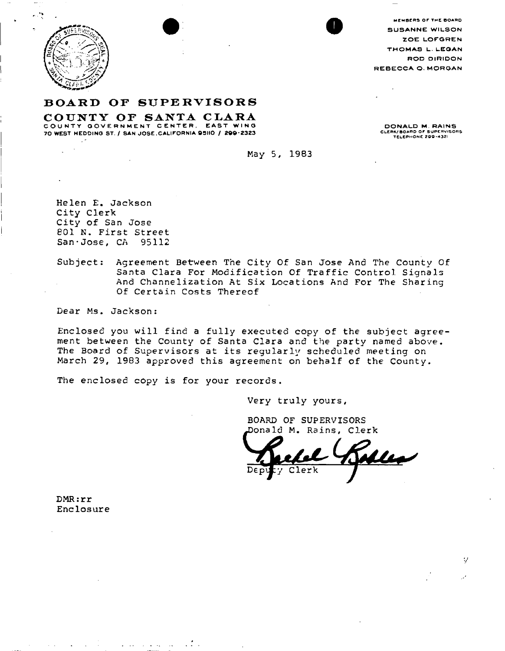

MEMBERS OF THE BOARD **S US ANNE WILSON ZOE LOFGREN THOMAS L. LCOAN ROD DIR1DON REBECCA O. MORGAN** 

## **BOAR D OF SUPERVISOR S**

**COUNTY OF SANTA CLARA COUNTY GOVERNMENT CENTER.** EAST WING **COUNT Y GOVERNMEN T CENTER , EAS T WIN G <sup>7</sup> 0 WEST HEDDINO ST. / SAN JOSE, CALIFORNIA 95110 / 200-232 <sup>3</sup>**

**DONALD M. RAINS<br>CLERK/BOARD OF SUPERVISORS**<br>TELEPHONE 299-4321

Ψ

**May 5, 1983** 

**Helen E. Jackson City Clerk City of San Jose 801 N . First Street San•Jose, CA 95112** 

**Subject: Agreement Between The City Of San Jose And The County Of Santa Clara For Modification Of Traffic Control Signals And Channelization At Six Locations And For The Sharing Of Certain Costs Thereof** 

**Dear Ms. Jackson:** 

**Enclosed you will find a fully executed copy of the subject agreement between the County of Santa Clara and the party named above. The Board of Supervisors at its regularly scheduled meeting on March 29, 1983 approved this agreement on behalf of the County.** 

**The enclosed copy is for your records.** 

**Very truly yours,** 

**BOARD OF SUPERVISORS Jonald M . Rains, Clerk** 

**DMR:rr Enclosure**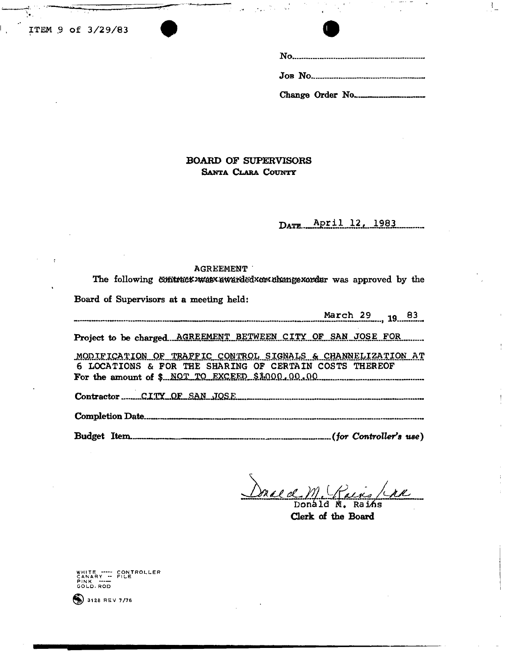**ITEM .9 Of 3/29/83** 



 $\mathcal{L}_{-}$ 

 $\frac{1}{2}$ 

**BOARD OF SUPERVISORS SANTA CLARA COUNTY** 

> April 12, 1983 DATE.

#### **AGREEMENT**

The following contract was awarded xor change xorder was approved by the

**Board of Supervisors at a meeting held:** 

| <b>March 29</b> 19 19                                                                                                                                                       |  |
|-----------------------------------------------------------------------------------------------------------------------------------------------------------------------------|--|
| Project to be chargedAGREEMENT BETWEEN CITY OF SAN JOSE FOR                                                                                                                 |  |
| MODIFICATION OF TRAFFIC CONTROL SIGNALS & CHANNELIZATION AT<br>6 LOCATIONS & FOR THE SHARING OF CERTAIN COSTS THEREOF<br>For the amount of \$ NOT TO EXCEED \$1.000.00.00 m |  |
| Contractor CITY OF SAN JOSE                                                                                                                                                 |  |
|                                                                                                                                                                             |  |
|                                                                                                                                                                             |  |

Donal de M. (Tains/

**Clerk of the Board** 

WHITE ----- CONTROLLER<br>CANARY ---<br>PINK -----<br>GOLD.ROD

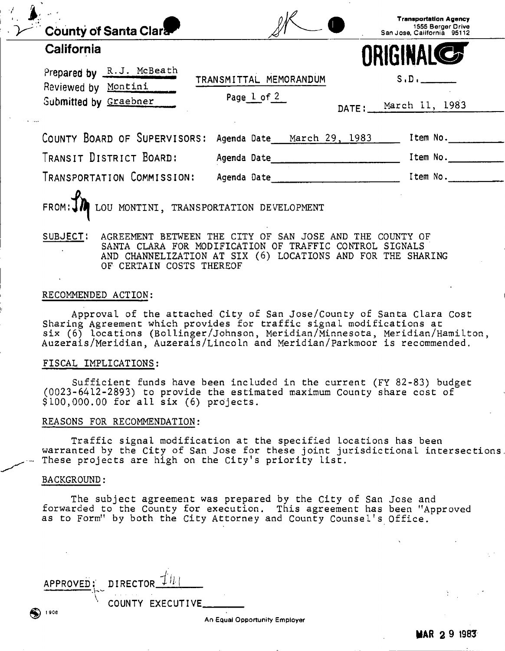| <b>County of Santa Clara-</b>                   |                            | <b>Transportation Agency</b><br>1555 Berger Drive<br>San Jose, California 95112 |
|-------------------------------------------------|----------------------------|---------------------------------------------------------------------------------|
| California                                      |                            | ORIGINALCS                                                                      |
| Prepared by R.J. McBeath<br>Reviewed by Montini | TRANSMITTAL MEMORANDUM     | S.D.                                                                            |
| Submitted by Graebner                           | Page 1 of 2                | DATE: March 11, 1983                                                            |
| COUNTY BOARD OF SUPERVISORS:                    | Agenda Date March 29, 1983 | Item No.                                                                        |
| TRANSIT DISTRICT BOARD:                         | Agenda Date                | Item No.                                                                        |
|                                                 |                            |                                                                                 |

**SUBJECT: AGREEMENT BETWEEN THE CITY OF SAN JOSE AND THE COUNTY OF SANTA CLARA FOR MODIFICATION OF TRAFFIC CONTROL SIGNALS AND CHANNELIZATION AT SIX (6) LOCATIONS AND FOR THE SHARING OF CERTAIN COSTS THEREOF** 

#### **RECOMMENDED ACTION:**

**Approval of the attached City of San Jose/County of Santa Clara Cost Sharing Agreement which provides for traffic signal modifications at**  six (6) locations (Bollinger/Johnson, Meridian/Minnesota, Meridian/Hamilton, **Auzerais/Meridian, Auzerais/Lincoln and Meridian/Parkmoor is recommended.** 

#### **FISCAL IMPLICATIONS:**

**Sufficient funds have been included in the current (FY** 82-83 ) **budget**  (0023-6412-2893 ) **to provide the estimated maximum County share cost of \$100,000.00 for all six (6) projects.** 

#### **REASONS FOR RECOMMENDATION:**

**Traffic signal modification at the specified locations has been warranted by the City of San Jose for these joint jurisdictional intersections These projects are high on the City's priority list.** 

#### **BACKGROUND:**

**The subject agreement was prepared by the City of San Jose and forwarded to the County for execution. This agreement has been "Approved as to Form" by both the City Attorney and County Counsel's Office.** 

| APPROVED: DIRECTOR $\mathcal{I}[h]$ |                   |                               |
|-------------------------------------|-------------------|-------------------------------|
| 1908                                | COUNTY EXECUTIVE. |                               |
|                                     |                   | An Equal Opportunity Employer |